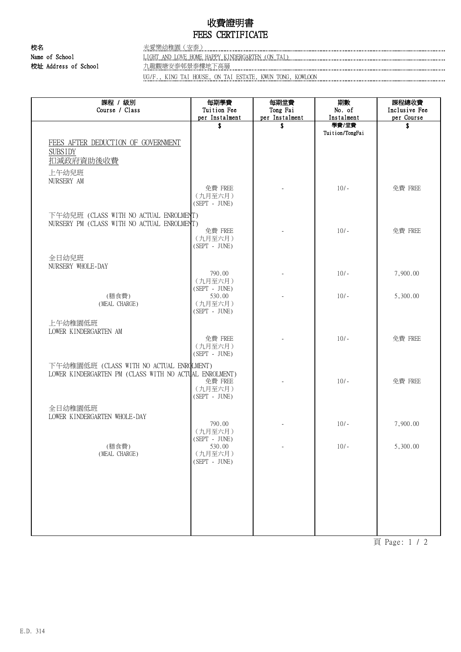## 收費證明書 FEES CERTIFICATE

校名 光愛樂幼稚園(安泰) 校址 Address of School 九龍觀塘安泰邨景泰樓地下高層

Name of School LIGHT AND LOVE HOME HAPPY KINDERGARTEN (ON TAI)

UG/F., KING TAI HOUSE, ON TAI ESTATE, KWUN TONG, KOWLOON

| 課程 / 級別<br>Course / Class                                                             | 每期學費<br>Tuition Fee                   | 每期堂費<br>Tong Fai         | 期數<br>No. of             | 課程總收費<br>Inclusive Fee |
|---------------------------------------------------------------------------------------|---------------------------------------|--------------------------|--------------------------|------------------------|
|                                                                                       | per Instalment                        | per Instalment           | Instalment               | per Course             |
|                                                                                       | \$                                    | \$                       | 學費/堂費<br>Tuition/TongFai | \$                     |
| FEES AFTER DEDUCTION OF GOVERNMENT<br><b>SUBSIDY</b><br>扣减政府資助後收費                     |                                       |                          |                          |                        |
| 上午幼兒班<br>NURSERY AM                                                                   |                                       |                          |                          |                        |
|                                                                                       | 免費 FREE<br>(九月至六月)<br>$(SEPT - JUNE)$ |                          | $10/-$                   | 免費 FREE                |
| 下午幼兒班 (CLASS WITH NO ACTUAL ENROLMENT)<br>NURSERY PM (CLASS WITH NO ACTUAL ENROLMENT) |                                       |                          |                          |                        |
|                                                                                       | 免費 FREE<br>(九月至六月)<br>$(SEPT - JUNE)$ |                          | $10/-$                   | 免費 FREE                |
| 全日幼兒班                                                                                 |                                       |                          |                          |                        |
| NURSERY WHOLE-DAY                                                                     | 790.00                                |                          | $10/-$                   | 7,900.00               |
|                                                                                       | (九月至六月)                               |                          |                          |                        |
|                                                                                       | (SEPT - JUNE)                         |                          |                          |                        |
| (膳食費)<br>(MEAL CHARGE)                                                                | 530.00<br>(九月至六月)<br>$(SEPT - JUNE)$  |                          | $10/-$                   | 5,300.00               |
| 上午幼稚園低班                                                                               |                                       |                          |                          |                        |
| LOWER KINDERGARTEN AM                                                                 |                                       |                          |                          |                        |
|                                                                                       | 免費 FREE<br>(九月至六月)<br>(SEPT - JUNE)   |                          | $10/-$                   | 免費 FREE                |
| 下午幼稚園低班 (CLASS WITH NO ACTUAL ENROLMENT)                                              |                                       |                          |                          |                        |
| LOWER KINDERGARTEN PM (CLASS WITH NO ACTUAL ENROLMENT)                                | 免費 FREE<br>(九月至六月)<br>$(SEPT - JUNE)$ |                          | $10/-$                   | 免費 FREE                |
| 全日幼稚園低班                                                                               |                                       |                          |                          |                        |
| LOWER KINDERGARTEN WHOLE-DAY                                                          |                                       |                          |                          |                        |
|                                                                                       | 790.00<br>(九月至六月)<br>$(SEPT - JUNE)$  |                          | $10/-$                   | 7,900.00               |
| (膳食費)<br>(MEAL CHARGE)                                                                | 530.00<br>(九月至六月)<br>$(SEPT - JUNE)$  | $\overline{\phantom{a}}$ | $10/-$                   | 5,300.00               |
|                                                                                       |                                       |                          |                          |                        |
|                                                                                       |                                       |                          |                          |                        |
|                                                                                       |                                       |                          |                          |                        |
|                                                                                       |                                       |                          |                          |                        |
|                                                                                       |                                       |                          |                          |                        |
|                                                                                       |                                       |                          |                          |                        |

頁 Page: 1 / 2